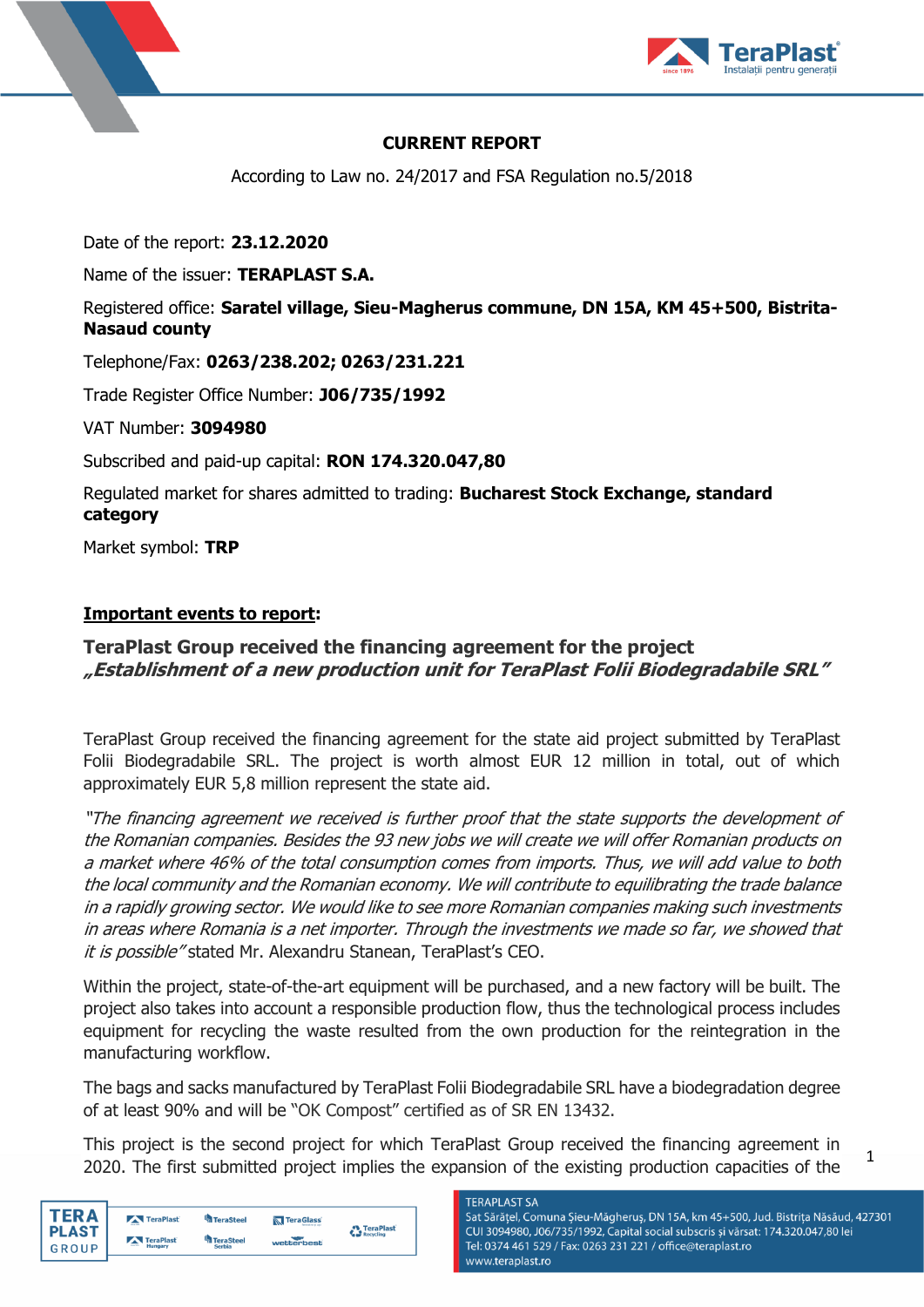



# **CURRENT REPORT**

According to Law no. 24/2017 and FSA Regulation no.5/2018

Date of the report: **23.12.2020**

Name of the issuer: **TERAPLAST S.A.**

# Registered office: **Saratel village, Sieu-Magherus commune, DN 15A, KM 45+500, Bistrita-Nasaud county**

Telephone/Fax: **0263/238.202; 0263/231.221**

Trade Register Office Number: **J06/735/1992**

VAT Number: **3094980**

Subscribed and paid-up capital: **RON 174.320.047,80**

Regulated market for shares admitted to trading: **Bucharest Stock Exchange, standard category**

Market symbol: **TRP**

### **Important events to report:**

# **TeraPlast Group received the financing agreement for the project "Establishment of a new production unit for TeraPlast Folii Biodegradabile SRL"**

TeraPlast Group received the financing agreement for the state aid project submitted by TeraPlast Folii Biodegradabile SRL. The project is worth almost EUR 12 million in total, out of which approximately EUR 5,8 million represent the state aid.

"The financing agreement we received is further proof that the state supports the development of the Romanian companies. Besides the 93 new jobs we will create we will offer Romanian products on a market where 46% of the total consumption comes from imports. Thus, we will add value to both the local community and the Romanian economy. We will contribute to equilibrating the trade balance in a rapidly growing sector. We would like to see more Romanian companies making such investments in areas where Romania is a net importer. Through the investments we made so far, we showed that it is possible" stated Mr. Alexandru Stanean, TeraPlast's CEO.

Within the project, state-of-the-art equipment will be purchased, and a new factory will be built. The project also takes into account a responsible production flow, thus the technological process includes equipment for recycling the waste resulted from the own production for the reintegration in the manufacturing workflow.

The bags and sacks manufactured by TeraPlast Folii Biodegradabile SRL have a biodegradation degree of at least 90% and will be "OK Compost" certified as of SR EN 13432.

This project is the second project for which TeraPlast Group received the financing agreement in 2020. The first submitted project implies the expansion of the existing production capacities of the

| TER A        | TeraPlast | <b>TeraSteel</b> | TeraGlass  | TeraPlast |
|--------------|-----------|------------------|------------|-----------|
| <b>PLAST</b> | TeraPlast | <b>TeraSteel</b> |            | Recycling |
| GROUP        | Hungary   | <b>Serbia</b>    | wetterbest |           |

#### **TFRAPI AST SA**

Sat Sărățel, Comuna Șieu-Măgheruș, DN 15A, km 45+500, Jud. Bistrița Năsăud, 427301 CUI 3094980, J06/735/1992, Capital social subscris și vărsat: 174.320.047,80 lei Tel: 0374 461 529 / Fax: 0263 231 221 / office@teraplast.ro www.teraplast.ro

1